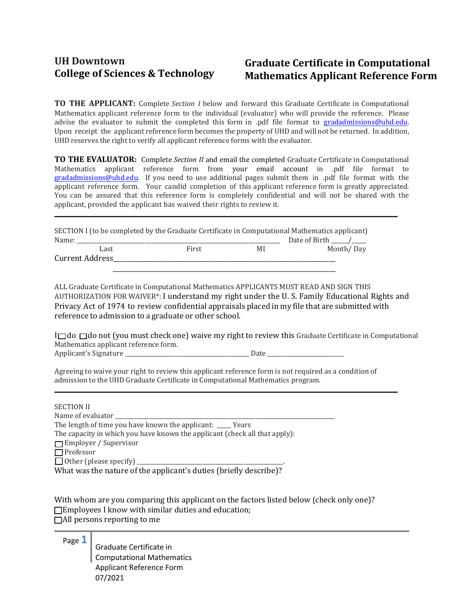## **UH Downtown Graduate Certificate in Computational Mathematics Applicant Reference Form**

**\_**

**\_**

**TO THE APPLICANT:** Complete *Section I* below and forward this Graduate Certificate in Computational Mathematics applicant reference form to the individual (evaluator) who will provide the reference. Please advise the evaluator to submit the completed this form in [.pdf file format to](mailto:gradadmissions@uhd.edu) gradadmissions@uhd.edu. Upon receipt the applicant reference form becomes the property of UHD and will not be returned. In addition, UHD reserves the right to verify all applicant reference forms with the evaluator.

**TO THE EVALUATOR:** Complete *Section II* and email the completed Graduate Certificate in Computational Mathematics applicant reference [form from your ema](mailto:gradadmissions@uhd.edu)il account in .pdf file format to gradadmissions@uhd.edu. If you need to use additional pages submit them in .pdf file format with the applicant reference form. Your candid completion of this applicant reference form is greatly appreciated. You can be assured that this reference form is completely confidential and will not be shared with the applicant, provided the applicant has waived their rights to review it.

SECTION I (to be completed by the Graduate Certificate in Computational Mathematics applicant) Name: \_\_\_\_\_\_\_\_\_\_\_\_\_\_\_\_\_\_\_\_\_\_\_\_\_\_\_\_\_\_\_\_\_\_\_\_\_\_\_\_\_\_\_\_\_\_\_\_\_\_\_\_\_\_\_\_\_\_\_\_\_\_\_\_\_\_\_\_\_\_\_\_ Date of Birth \_\_\_\_\_\_/\_\_\_\_\_ Month/ Day Current Address\_\_\_\_\_\_\_\_\_\_\_\_\_\_\_\_\_\_\_\_\_\_\_\_\_\_\_\_\_\_\_\_\_\_\_\_\_\_\_\_\_\_\_\_\_\_\_\_\_\_\_\_\_\_\_\_\_\_\_\_\_\_\_\_\_\_\_\_\_\_\_\_

ALL Graduate Certificate in Computational Mathematics APPLICANTS MUST READ AND SIGN THIS AUTHORIZATION FOR WAIVER\*: I understand my right under the U. S. Family Educational Rights and Privacy Act of 1974 to review confidential appraisals placed in my file that are submitted with reference to admission to a graduate or other school.

\_\_\_\_\_\_\_\_\_\_\_\_\_\_\_\_\_\_\_\_\_\_\_\_\_\_\_\_\_\_\_\_\_\_\_\_\_\_\_\_\_\_\_\_\_\_\_\_\_\_\_\_\_\_\_\_\_\_\_\_\_\_\_\_\_\_\_\_\_\_\_\_

 $I \Box$ do  $\Box$ do not (you must check one) waive my right to review this Graduate Certificate in Computational Mathematics applicant reference form. Applicant's Signature \_\_\_\_\_\_\_\_\_\_\_\_\_\_\_\_\_\_\_\_\_\_\_\_\_\_\_\_\_\_\_\_\_\_\_\_\_\_\_\_\_\_\_\_ Date \_\_\_\_\_\_\_\_\_\_\_\_\_\_\_\_\_\_\_\_\_\_\_\_\_\_\_

Agreeing to waive your right to review this applicant reference form is not required as a condition of admission to the UHD Graduate Certificate in Computational Mathematics program.

## SECTION II

Name of evaluator

The length of time you have known the applicant: \_\_\_\_\_ Years

The capacity in which you have known the applicant (check all that apply):

**T**Employer / Supervisor

\_\_\_ Professor

 $\Box$  Other (please specify)

What was the nature of the applicant's duties (briefly describe)?

With whom are you comparing this applicant on the factors listed below (check only one)?  $\Box$  Employees I know with similar duties and education;  $\Box$  All persons reporting to me

## Page **1**

Graduate Certificate in Computational Mathematics Applicant Reference Form 07/2021